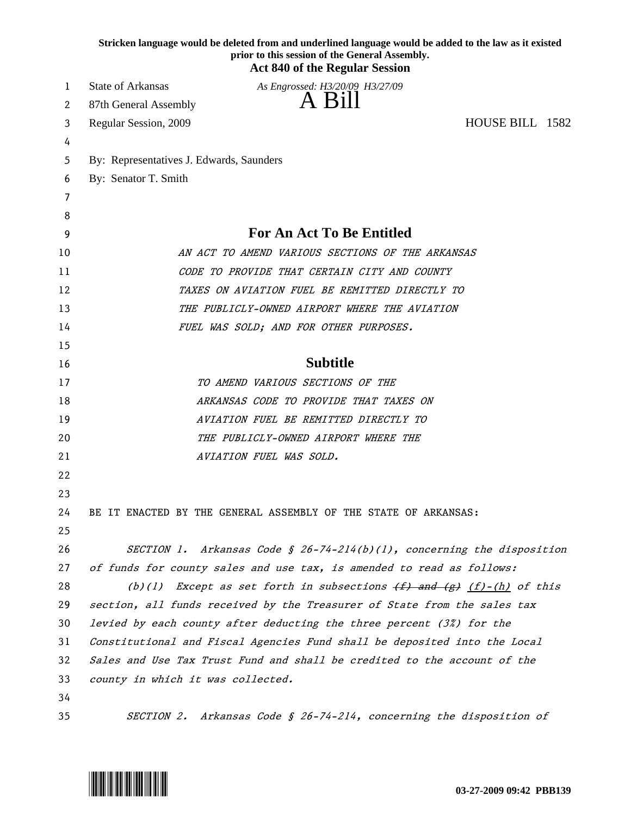|    | Stricken language would be deleted from and underlined language would be added to the law as it existed<br>prior to this session of the General Assembly.<br><b>Act 840 of the Regular Session</b> |  |
|----|----------------------------------------------------------------------------------------------------------------------------------------------------------------------------------------------------|--|
| 1  | <b>State of Arkansas</b><br>As Engrossed: H3/20/09 H3/27/09                                                                                                                                        |  |
| 2  | A Bill<br>87th General Assembly                                                                                                                                                                    |  |
| 3  | HOUSE BILL 1582<br>Regular Session, 2009                                                                                                                                                           |  |
| 4  |                                                                                                                                                                                                    |  |
| 5  | By: Representatives J. Edwards, Saunders                                                                                                                                                           |  |
| 6  | By: Senator T. Smith                                                                                                                                                                               |  |
| 7  |                                                                                                                                                                                                    |  |
| 8  |                                                                                                                                                                                                    |  |
| 9  | For An Act To Be Entitled                                                                                                                                                                          |  |
| 10 | AN ACT TO AMEND VARIOUS SECTIONS OF THE ARKANSAS                                                                                                                                                   |  |
| 11 | CODE TO PROVIDE THAT CERTAIN CITY AND COUNTY                                                                                                                                                       |  |
| 12 | TAXES ON AVIATION FUEL BE REMITTED DIRECTLY TO                                                                                                                                                     |  |
| 13 | THE PUBLICLY-OWNED AIRPORT WHERE THE AVIATION                                                                                                                                                      |  |
| 14 | FUEL WAS SOLD; AND FOR OTHER PURPOSES.                                                                                                                                                             |  |
| 15 |                                                                                                                                                                                                    |  |
| 16 | <b>Subtitle</b>                                                                                                                                                                                    |  |
| 17 | TO AMEND VARIOUS SECTIONS OF THE                                                                                                                                                                   |  |
| 18 | ARKANSAS CODE TO PROVIDE THAT TAXES ON                                                                                                                                                             |  |
| 19 | AVIATION FUEL BE REMITTED DIRECTLY TO                                                                                                                                                              |  |
| 20 | THE PUBLICLY-OWNED AIRPORT WHERE THE                                                                                                                                                               |  |
| 21 | AVIATION FUEL WAS SOLD.                                                                                                                                                                            |  |
| 22 |                                                                                                                                                                                                    |  |
| 23 |                                                                                                                                                                                                    |  |
| 24 | BE IT ENACTED BY THE GENERAL ASSEMBLY OF THE STATE OF ARKANSAS:                                                                                                                                    |  |
| 25 |                                                                                                                                                                                                    |  |
| 26 | SECTION 1. Arkansas Code § 26-74-214(b)(1), concerning the disposition                                                                                                                             |  |
| 27 | of funds for county sales and use tax, is amended to read as follows:                                                                                                                              |  |
| 28 | (b)(1) Except as set forth in subsections $(f)$ and $(g)$ $(f)$ - $(h)$ of this                                                                                                                    |  |
| 29 | section, all funds received by the Treasurer of State from the sales tax                                                                                                                           |  |
| 30 | levied by each county after deducting the three percent (3%) for the                                                                                                                               |  |
| 31 | Constitutional and Fiscal Agencies Fund shall be deposited into the Local                                                                                                                          |  |
| 32 | Sales and Use Tax Trust Fund and shall be credited to the account of the                                                                                                                           |  |
| 33 | county in which it was collected.                                                                                                                                                                  |  |
| 34 |                                                                                                                                                                                                    |  |
| 35 | SECTION 2. Arkansas Code § 26-74-214, concerning the disposition of                                                                                                                                |  |

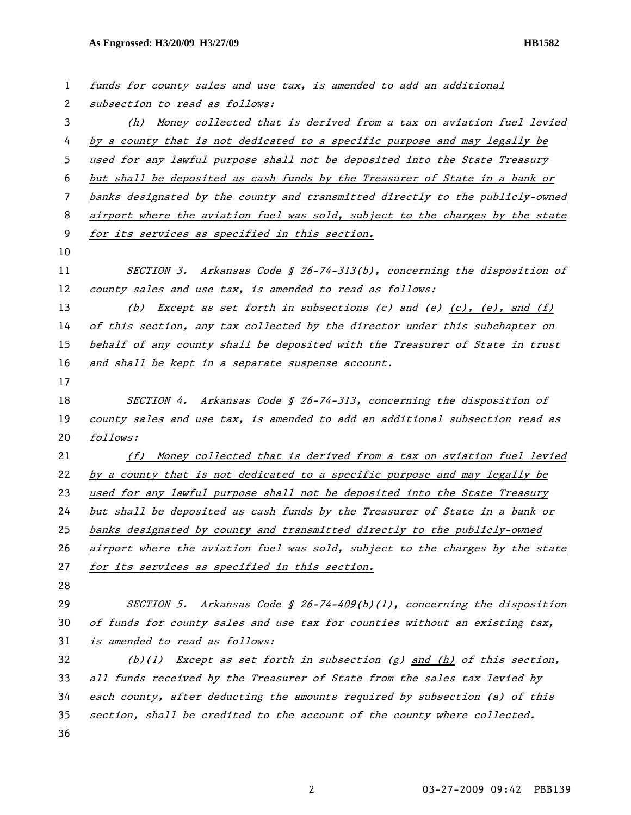| $\mathbf{1}$ | funds for county sales and use tax, is amended to add an additional              |
|--------------|----------------------------------------------------------------------------------|
| $\mathbf{2}$ | subsection to read as follows:                                                   |
| 3            | (h) Money collected that is derived from a tax on aviation fuel levied           |
| 4            | by a county that is not dedicated to a specific purpose and may legally be       |
| 5            | used for any lawful purpose shall not be deposited into the State Treasury       |
| 6            | but shall be deposited as cash funds by the Treasurer of State in a bank or      |
| 7            | banks designated by the county and transmitted directly to the publicly-owned    |
| 8            | airport where the aviation fuel was sold, subject to the charges by the state    |
| 9            | for its services as specified in this section.                                   |
| 10           |                                                                                  |
| 11           | SECTION 3. Arkansas Code § 26-74-313(b), concerning the disposition of           |
| 12           | county sales and use tax, is amended to read as follows:                         |
| 13           | (b) Except as set forth in subsections $(e)$ and $(e)$ $(c)$ , $(e)$ , and $(f)$ |
| 14           | of this section, any tax collected by the director under this subchapter on      |
| 15           | behalf of any county shall be deposited with the Treasurer of State in trust     |
| 16           | and shall be kept in a separate suspense account.                                |
| 17           |                                                                                  |
| 18           | SECTION 4. Arkansas Code § 26-74-313, concerning the disposition of              |
| 19           | county sales and use tax, is amended to add an additional subsection read as     |
| 20           | follows:                                                                         |
| 21           | Money collected that is derived from a tax on aviation fuel levied<br>(f)        |
| 22           | by a county that is not dedicated to a specific purpose and may legally be       |
| 23           |                                                                                  |
| 24           | used for any lawful purpose shall not be deposited into the State Treasury       |
|              | but shall be deposited as cash funds by the Treasurer of State in a bank or      |
| 25           | banks designated by county and transmitted directly to the publicly-owned        |
| 26           | airport where the aviation fuel was sold, subject to the charges by the state    |
| 27           | for its services as specified in this section.                                   |
| 28           |                                                                                  |
| 29           | SECTION 5. Arkansas Code § 26-74-409(b)(1), concerning the disposition           |
| 30           | of funds for county sales and use tax for counties without an existing tax,      |
| 31           | is amended to read as follows:                                                   |
| 32           | Except as set forth in subsection $(g)$ and $(h)$ of this section,<br>(b)(1)     |
| 33           | all funds received by the Treasurer of State from the sales tax levied by        |

section, shall be credited to the account of the county where collected.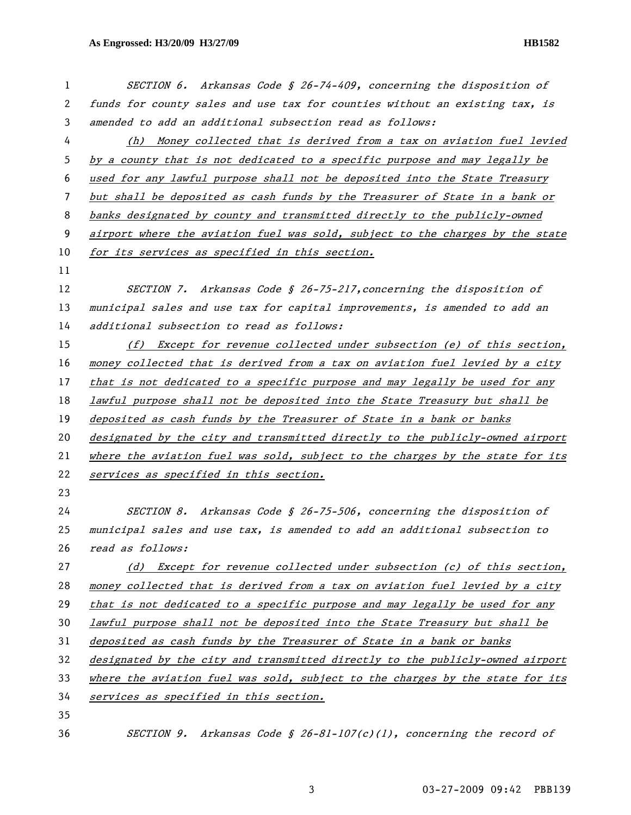| 1  | SECTION 6. Arkansas Code § 26-74-409, concerning the disposition of           |
|----|-------------------------------------------------------------------------------|
| 2  | funds for county sales and use tax for counties without an existing tax, is   |
| 3  | amended to add an additional subsection read as follows:                      |
| 4  | (h) Money collected that is derived from a tax on aviation fuel levied        |
| 5  | by a county that is not dedicated to a specific purpose and may legally be    |
| 6  | used for any lawful purpose shall not be deposited into the State Treasury    |
| 7  | but shall be deposited as cash funds by the Treasurer of State in a bank or   |
| 8  | banks designated by county and transmitted directly to the publicly-owned     |
| 9  | airport where the aviation fuel was sold, subject to the charges by the state |
| 10 | for its services as specified in this section.                                |
| 11 |                                                                               |
| 12 | SECTION 7. Arkansas Code § 26-75-217, concerning the disposition of           |
| 13 | municipal sales and use tax for capital improvements, is amended to add an    |
| 14 | additional subsection to read as follows:                                     |
| 15 | (f) Except for revenue collected under subsection (e) of this section,        |
| 16 | money collected that is derived from a tax on aviation fuel levied by a city  |
| 17 | that is not dedicated to a specific purpose and may legally be used for any   |
| 18 | lawful purpose shall not be deposited into the State Treasury but shall be    |
| 19 | deposited as cash funds by the Treasurer of State in a bank or banks          |
| 20 | designated by the city and transmitted directly to the publicly-owned airport |
| 21 | where the aviation fuel was sold, subject to the charges by the state for its |
| 22 | services as specified in this section.                                        |
| 23 |                                                                               |
| 24 | SECTION 8. Arkansas Code § 26-75-506, concerning the disposition of           |
| 25 | municipal sales and use tax, is amended to add an additional subsection to    |
| 26 | read as follows:                                                              |
| 27 | $(d)$ Except for revenue collected under subsection (c) of this section,      |
| 28 | money collected that is derived from a tax on aviation fuel levied by a city  |
| 29 | that is not dedicated to a specific purpose and may legally be used for any   |
| 30 | lawful purpose shall not be deposited into the State Treasury but shall be    |
| 31 | deposited as cash funds by the Treasurer of State in a bank or banks          |
| 32 | designated by the city and transmitted directly to the publicly-owned airport |
| 33 | where the aviation fuel was sold, subject to the charges by the state for its |
| 34 | services as specified in this section.                                        |
| 35 |                                                                               |
| 36 | Arkansas Code § 26-81-107(c)(1), concerning the record of<br>SECTION 9.       |